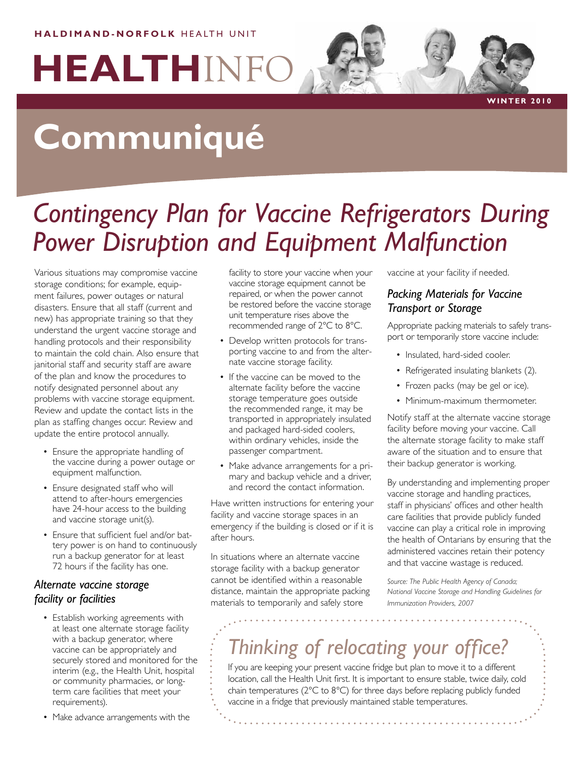#### **HALDIMAND-NORFOLK HEALTH UNIT**

# **HEALTH**INFO

**W i n ter 2 0 1 0**

# **Communiqué**

## *Contingency Plan for Vaccine Refrigerators During Power Disruption and Equipment Malfunction*

Various situations may compromise vaccine storage conditions; for example, equipment failures, power outages or natural disasters. Ensure that all staff (current and new) has appropriate training so that they understand the urgent vaccine storage and handling protocols and their responsibility to maintain the cold chain. Also ensure that janitorial staff and security staff are aware of the plan and know the procedures to notify designated personnel about any problems with vaccine storage equipment. Review and update the contact lists in the plan as staffing changes occur. Review and update the entire protocol annually.

- Ensure the appropriate handling of the vaccine during a power outage or equipment malfunction.
- Ensure designated staff who will attend to after-hours emergencies have 24-hour access to the building and vaccine storage unit(s).
- Ensure that sufficient fuel and/or battery power is on hand to continuously run a backup generator for at least 72 hours if the facility has one.

#### *Alternate vaccine storage facility or facilities*

- Establish working agreements with at least one alternate storage facility with a backup generator, where vaccine can be appropriately and securely stored and monitored for the interim (e.g., the Health Unit, hospital or community pharmacies, or longterm care facilities that meet your requirements).
- Make advance arrangements with the

facility to store your vaccine when your vaccine storage equipment cannot be repaired, or when the power cannot be restored before the vaccine storage unit temperature rises above the recommended range of 2°C to 8°C.

- Develop written protocols for transporting vaccine to and from the alternate vaccine storage facility.
- If the vaccine can be moved to the alternate facility before the vaccine storage temperature goes outside the recommended range, it may be transported in appropriately insulated and packaged hard-sided coolers, within ordinary vehicles, inside the passenger compartment.
- Make advance arrangements for a primary and backup vehicle and a driver, and record the contact information.

Have written instructions for entering your facility and vaccine storage spaces in an emergency if the building is closed or if it is after hours.

In situations where an alternate vaccine storage facility with a backup generator cannot be identified within a reasonable distance, maintain the appropriate packing materials to temporarily and safely store

vaccine at your facility if needed.

#### *Packing Materials for Vaccine Transport or Storage*

Appropriate packing materials to safely transport or temporarily store vaccine include:

- Insulated, hard-sided cooler.
- Refrigerated insulating blankets (2).
- Frozen packs (may be gel or ice).
- Minimum-maximum thermometer.

Notify staff at the alternate vaccine storage facility before moving your vaccine. Call the alternate storage facility to make staff aware of the situation and to ensure that their backup generator is working.

By understanding and implementing proper vaccine storage and handling practices, staff in physicians' offices and other health care facilities that provide publicly funded vaccine can play a critical role in improving the health of Ontarians by ensuring that the administered vaccines retain their potency and that vaccine wastage is reduced.

*Source: The Public Health Agency of Canada; National Vaccine Storage and Handling Guidelines for Immunization Providers, 2007* 

### *Thinking of relocating your office?*

If you are keeping your present vaccine fridge but plan to move it to a different location, call the Health Unit first. It is important to ensure stable, twice daily, cold chain temperatures (2°C to 8°C) for three days before replacing publicly funded vaccine in a fridge that previously maintained stable temperatures.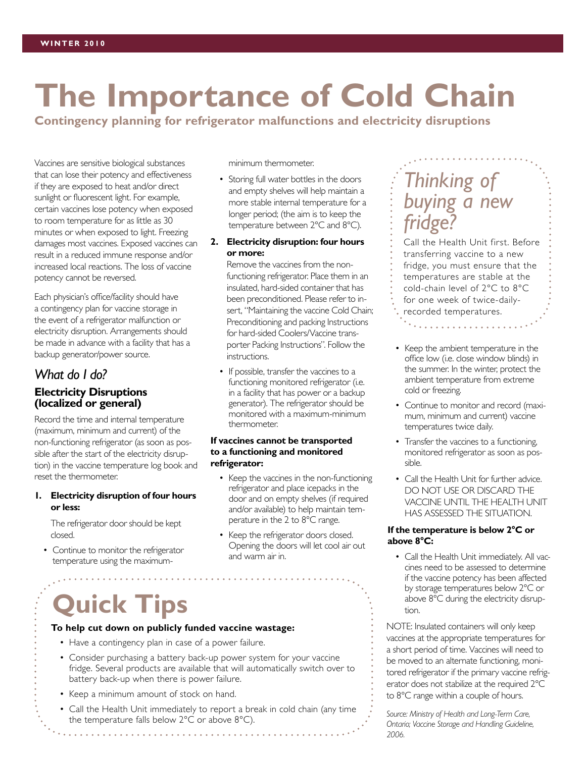# **The Importance of Cold Chain**

**Contingency planning for refrigerator malfunctions and electricity disruptions**

Vaccines are sensitive biological substances that can lose their potency and effectiveness if they are exposed to heat and/or direct sunlight or fluorescent light. For example, certain vaccines lose potency when exposed to room temperature for as little as 30 minutes or when exposed to light. Freezing damages most vaccines. Exposed vaccines can result in a reduced immune response and/or increased local reactions. The loss of vaccine potency cannot be reversed.

Each physician's office/facility should have a contingency plan for vaccine storage in the event of a refrigerator malfunction or electricity disruption. Arrangements should be made in advance with a facility that has a backup generator/power source.

#### *What do I do?* **Electricity Disruptions (localized or general)**

Record the time and internal temperature (maximum, minimum and current) of the non-functioning refrigerator (as soon as possible after the start of the electricity disruption) in the vaccine temperature log book and reset the thermometer.

#### **1. Electricity disruption of four hours or less:**

The refrigerator door should be kept closed.

• Continue to monitor the refrigerator temperature using the maximumminimum thermometer.

- Storing full water bottles in the doors and empty shelves will help maintain a more stable internal temperature for a longer period; (the aim is to keep the temperature between 2°C and 8°C).
- **2. Electricity disruption: four hours or more:**

Remove the vaccines from the nonfunctioning refrigerator. Place them in an insulated, hard-sided container that has been preconditioned. Please refer to insert, "Maintaining the vaccine Cold Chain; Preconditioning and packing Instructions for hard-sided Coolers/Vaccine transporter Packing Instructions". Follow the instructions.

• If possible, transfer the vaccines to a functioning monitored refrigerator (i.e. in a facility that has power or a backup generator). The refrigerator should be monitored with a maximum-minimum thermometer.

#### **If vaccines cannot be transported to a functioning and monitored refrigerator:**

- Keep the vaccines in the non-functioning refrigerator and place icepacks in the door and on empty shelves (if required and/or available) to help maintain temperature in the 2 to 8°C range.
- Keep the refrigerator doors closed. Opening the doors will let cool air out and warm air in.

# **Quick Tips**

#### **To help cut down on publicly funded vaccine wastage:**

- Have a contingency plan in case of a power failure.
- Consider purchasing a battery back-up power system for your vaccine fridge. Several products are available that will automatically switch over to battery back-up when there is power failure.
- Keep a minimum amount of stock on hand.
- Call the Health Unit immediately to report a break in cold chain (any time the temperature falls below 2°C or above 8°C).

### *Thinking of buying a new fridge?*

Call the Health Unit first. Before transferring vaccine to a new fridge, you must ensure that the temperatures are stable at the cold-chain level of 2°C to 8°C for one week of twice-dailyrecorded temperatures.

- Keep the ambient temperature in the office low (i.e. close window blinds) in the summer. In the winter, protect the ambient temperature from extreme cold or freezing.
- Continue to monitor and record (maximum, minimum and current) vaccine temperatures twice daily.
- Transfer the vaccines to a functioning, monitored refrigerator as soon as possible.
- Call the Health Unit for further advice. DO NOT USE OR DISCARD THE VACCINE UNTIL THE HEALTH UNIT HAS ASSESSED THE SITUATION.

#### **If the temperature is below 2°C or above 8°C:**

• Call the Health Unit immediately. All vaccines need to be assessed to determine if the vaccine potency has been affected by storage temperatures below 2°C or above 8°C during the electricity disruption.

NOTE: Insulated containers will only keep vaccines at the appropriate temperatures for a short period of time. Vaccines will need to be moved to an alternate functioning, monitored refrigerator if the primary vaccine refrigerator does not stabilize at the required 2°C to 8°C range within a couple of hours.

*Source: Ministry of Health and Long-Term Care, Ontario; Vaccine Storage and Handling Guideline, 2006.*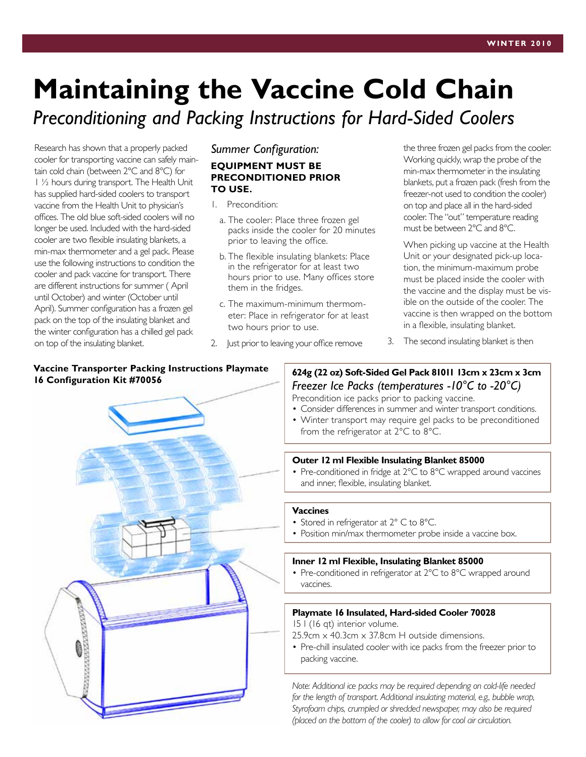# **Maintaining the Vaccine Cold Chain**

*Preconditioning and Packing Instructions for Hard-Sided Coolers*

Research has shown that a properly packed cooler for transporting vaccine can safely maintain cold chain (between 2°C and 8°C) for 1 ½ hours during transport. The Health Unit has supplied hard-sided coolers to transport vaccine from the Health Unit to physician's offices. The old blue soft-sided coolers will no longer be used. Included with the hard-sided cooler are two flexible insulating blankets, a min-max thermometer and a gel pack. Please use the following instructions to condition the cooler and pack vaccine for transport. There are different instructions for summer ( April until October) and winter (October until April). Summer configuration has a frozen gel pack on the top of the insulating blanket and the winter configuration has a chilled gel pack on top of the insulating blanket.

#### *Summer Configuration:*

#### **EQUIPMENT MUST BE PRECONDITIONED PRIOR TO USE.**

- 1. Precondition:
	- a. The cooler: Place three frozen gel packs inside the cooler for 20 minutes prior to leaving the office.
	- b. The flexible insulating blankets: Place in the refrigerator for at least two hours prior to use. Many offices store them in the fridges.
	- c. The maximum-minimum thermometer: Place in refrigerator for at least two hours prior to use.
- 2. Just prior to leaving your office remove

the three frozen gel packs from the cooler. Working quickly, wrap the probe of the min-max thermometer in the insulating blankets, put a frozen pack (fresh from the freezer-not used to condition the cooler) on top and place all in the hard-sided cooler. The "out" temperature reading must be between 2°C and 8°C.

When picking up vaccine at the Health Unit or your designated pick-up location, the minimum-maximum probe must be placed inside the cooler with the vaccine and the display must be visible on the outside of the cooler. The vaccine is then wrapped on the bottom in a flexible, insulating blanket.

3. The second insulating blanket is then

### **Vaccine Transporter Packing Instructions Playmate**



**16 Configuration Kit #70056 16 Configurations Playmate** 624g (22 oz) Soft-Sided Gel Pack 81011 13cm x 23cm x 3cm<br>**16 Configuration Kit #70056 624g (22 oz)** Soft-Sided Gel Pack 81011 13cm x 2006 1 *Freezer Ice Packs (temperatures -10°C to -20°C)*

Precondition ice packs prior to packing vaccine. • Consider differences in summer and winter transport conditions.

• Winter transport may require gel packs to be preconditioned from the refrigerator at 2°C to 8°C.

#### **Outer 12 ml Flexible Insulating Blanket 85000**

• Pre-conditioned in fridge at 2°C to 8°C wrapped around vaccines and inner, flexible, insulating blanket.

#### **Vaccines**

- Stored in refrigerator at 2° C to 8°C.
- Position min/max thermometer probe inside a vaccine box.

#### **Inner 12 ml Flexible, Insulating Blanket 85000**

• Pre-conditioned in refrigerator at 2°C to 8°C wrapped around vaccines.

#### **Playmate 16 Insulated, Hard-sided Cooler 70028**

15 l (16 qt) interior volume.

25.9cm x 40.3cm x 37.8cm H outside dimensions.

• Pre-chill insulated cooler with ice packs from the freezer prior to packing vaccine.

*Note: Additional ice packs may be required depending on cold-life needed for the length of transport. Additional insulating material, e.g., bubble wrap, Styrofoam chips, crumpled or shredded newspaper, may also be required (placed on the bottom of the cooler) to allow for cool air circulation.*